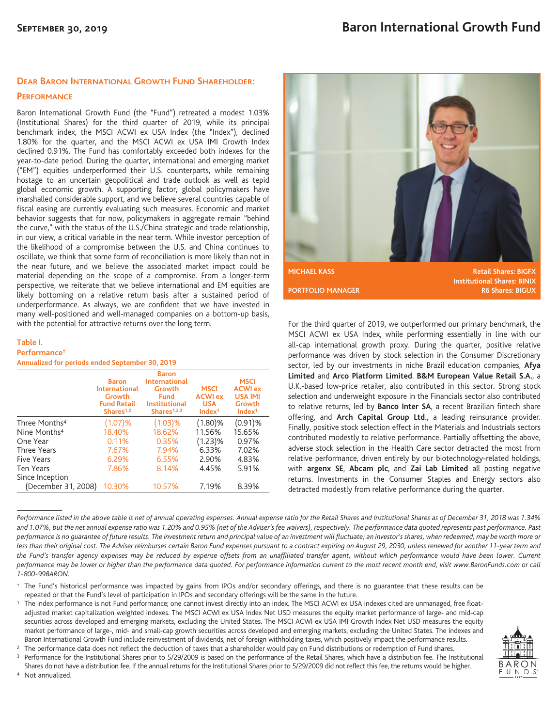## **DEAR BARON INTERNATIONAL GROWTH FUND SHAREHOLDER:**

#### **PERFORMANCE**

Baron International Growth Fund (the "Fund") retreated a modest 1.03% (Institutional Shares) for the third quarter of 2019, while its principal benchmark index, the MSCI ACWI ex USA Index (the "Index"), declined 1.80% for the quarter, and the MSCI ACWI ex USA IMI Growth Index declined 0.91%. The Fund has comfortably exceeded both indexes for the year-to-date period. During the quarter, international and emerging market ("EM") equities underperformed their U.S. counterparts, while remaining hostage to an uncertain geopolitical and trade outlook as well as tepid global economic growth. A supporting factor, global policymakers have marshalled considerable support, and we believe several countries capable of fiscal easing are currently evaluating such measures. Economic and market behavior suggests that for now, policymakers in aggregate remain "behind the curve," with the status of the U.S./China strategic and trade relationship, in our view, a critical variable in the near term. While investor perception of the likelihood of a compromise between the U.S. and China continues to oscillate, we think that some form of reconciliation is more likely than not in the near future, and we believe the associated market impact could be material depending on the scope of a compromise. From a longer-term perspective, we reiterate that we believe international and EM equities are likely bottoming on a relative return basis after a sustained period of underperformance. As always, we are confident that we have invested in many well-positioned and well-managed companies on a bottom-up basis, with the potential for attractive returns over the long term.

### **Table I.**

### **Performance†**

**Annualized for periods ended September 30, 2019**

|                           | <b>Baron</b><br><b>International</b><br>Growth<br><b>Fund Retail</b><br>Shares <sup>1,2</sup> | <b>Baron</b><br><b>International</b><br>Growth<br><b>Fund</b><br><b>Institutional</b><br>Shares $1,2,3$ | <b>MSCI</b><br><b>ACWI ex</b><br><b>USA</b><br>Index <sup>1</sup> | <b>MSCI</b><br><b>ACWI</b> ex<br><b>USA IMI</b><br>Growth<br>Index <sup>1</sup> |
|---------------------------|-----------------------------------------------------------------------------------------------|---------------------------------------------------------------------------------------------------------|-------------------------------------------------------------------|---------------------------------------------------------------------------------|
| Three Months <sup>4</sup> | (1.07)%                                                                                       | (1.03)%                                                                                                 | $(1.80)$ %                                                        | $(0.91)$ %                                                                      |
| Nine Months <sup>4</sup>  | 18.40%                                                                                        | 18.62%                                                                                                  | 11.56%                                                            | 15.65%                                                                          |
| One Year                  | 0.11%                                                                                         | 0.35%                                                                                                   | $(1.23)$ %                                                        | 0.97%                                                                           |
| Three Years               | 7.67%                                                                                         | 7.94%                                                                                                   | 6.33%                                                             | 7.02%                                                                           |
| Five Years                | 6.29%                                                                                         | 6.55%                                                                                                   | 2.90%                                                             | 4.83%                                                                           |
| <b>Ten Years</b>          | 7.86%                                                                                         | 8.14%                                                                                                   | 4.45%                                                             | 5.91%                                                                           |
| Since Inception           |                                                                                               |                                                                                                         |                                                                   |                                                                                 |
| (December 31, 2008)       | 10.30%                                                                                        | 10.57%                                                                                                  | 7.19%                                                             | 8.39%                                                                           |



For the third quarter of 2019, we outperformed our primary benchmark, the MSCI ACWI ex USA Index, while performing essentially in line with our all-cap international growth proxy. During the quarter, positive relative performance was driven by stock selection in the Consumer Discretionary sector, led by our investments in niche Brazil education companies, **Afya Limited** and **Arco Platform Limited**. **B&M European Value Retail S.A.**, a U.K.-based low-price retailer, also contributed in this sector. Strong stock selection and underweight exposure in the Financials sector also contributed to relative returns, led by **Banco Inter SA**, a recent Brazilian fintech share offering, and **Arch Capital Group Ltd.**, a leading reinsurance provider. Finally, positive stock selection effect in the Materials and Industrials sectors contributed modestly to relative performance. Partially offsetting the above, adverse stock selection in the Health Care sector detracted the most from relative performance, driven entirely by our biotechnology-related holdings, with **argenx SE**, **Abcam plc**, and **Zai Lab Limited** all posting negative returns. Investments in the Consumer Staples and Energy sectors also detracted modestly from relative performance during the quarter.

*Performance listed in the above table is net of annual operating expenses. Annual expense ratio for the Retail Shares and Institutional Shares as of December 31, 2018 was 1.34% and 1.07%, but the net annual expense ratio was 1.20% and 0.95% (net of the Adviser's fee waivers), respectively. The performance data quoted represents past performance. Past performance is no guarantee of future results. The investment return and principal value of an investment will fluctuate; an investor's shares, when redeemed, may be worth more or less than their original cost. The Adviser reimburses certain Baron Fund expenses pursuant to a contract expiring on August 29, 2030, unless renewed for another 11-year term and the Fund's transfer agency expenses may be reduced by expense offsets from an unaffiliated transfer agent, without which performance would have been lower. Current performance may be lower or higher than the performance data quoted. For performance information current to the most recent month end, visit www.BaronFunds.com or call 1-800-99BARON.*

- † The Fund's historical performance was impacted by gains from IPOs and/or secondary offerings, and there is no guarantee that these results can be repeated or that the Fund's level of participation in IPOs and secondary offerings will be the same in the future.
- <sup>1</sup> The index performance is not Fund performance; one cannot invest directly into an index. The MSCI ACWI ex USA indexes cited are unmanaged, free floatadjusted market capitalization weighted indexes. The MSCI ACWI ex USA Index Net USD measures the equity market performance of large- and mid-cap securities across developed and emerging markets, excluding the United States. The MSCI ACWI ex USA IMI Growth Index Net USD measures the equity market performance of large-, mid- and small-cap growth securities across developed and emerging markets, excluding the United States. The indexes and Baron International Growth Fund include reinvestment of dividends, net of foreign withholding taxes, which positively impact the performance results.

<sup>2</sup> The performance data does not reflect the deduction of taxes that a shareholder would pay on Fund distributions or redemption of Fund shares. <sup>3</sup> Performance for the Institutional Shares prior to 5/29/2009 is based on the performance of the Retail Shares, which have a distribution fee. The Institutional

Shares do not have a distribution fee. If the annual returns for the Institutional Shares prior to 5/29/2009 did not reflect this fee, the returns would be higher. <sup>4</sup> Not annualized.

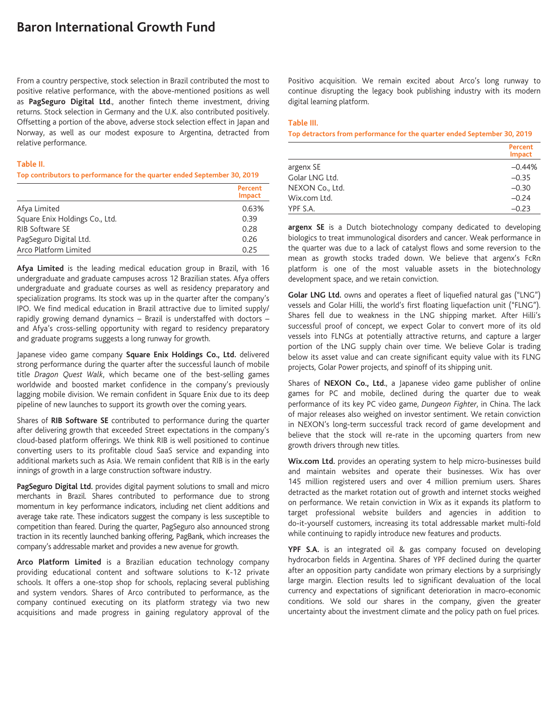# **Baron International Growth Fund**

From a country perspective, stock selection in Brazil contributed the most to positive relative performance, with the above-mentioned positions as well as **PagSeguro Digital Ltd**., another fintech theme investment, driving returns. Stock selection in Germany and the U.K. also contributed positively. Offsetting a portion of the above, adverse stock selection effect in Japan and Norway, as well as our modest exposure to Argentina, detracted from relative performance.

#### **Table II.**

#### **Top contributors to performance for the quarter ended September 30, 2019**

|                                | Percent<br><b>Impact</b> |
|--------------------------------|--------------------------|
| Afya Limited                   | 0.63%                    |
| Square Enix Holdings Co., Ltd. | 0.39                     |
| <b>RIB Software SE</b>         | 0.28                     |
| PagSeguro Digital Ltd.         | 0.26                     |
| Arco Platform Limited          | 0.25                     |

**Afya Limited** is the leading medical education group in Brazil, with 16 undergraduate and graduate campuses across 12 Brazilian states. Afya offers undergraduate and graduate courses as well as residency preparatory and specialization programs. Its stock was up in the quarter after the company's IPO. We find medical education in Brazil attractive due to limited supply/ rapidly growing demand dynamics – Brazil is understaffed with doctors – and Afya's cross-selling opportunity with regard to residency preparatory and graduate programs suggests a long runway for growth.

Japanese video game company **Square Enix Holdings Co., Ltd.** delivered strong performance during the quarter after the successful launch of mobile title *Dragon Quest Walk*, which became one of the best-selling games worldwide and boosted market confidence in the company's previously lagging mobile division. We remain confident in Square Enix due to its deep pipeline of new launches to support its growth over the coming years.

Shares of **RIB Software SE** contributed to performance during the quarter after delivering growth that exceeded Street expectations in the company's cloud-based platform offerings. We think RIB is well positioned to continue converting users to its profitable cloud SaaS service and expanding into additional markets such as Asia. We remain confident that RIB is in the early innings of growth in a large construction software industry.

**PagSeguro Digital Ltd.** provides digital payment solutions to small and micro merchants in Brazil. Shares contributed to performance due to strong momentum in key performance indicators, including net client additions and average take rate. These indicators suggest the company is less susceptible to competition than feared. During the quarter, PagSeguro also announced strong traction in its recently launched banking offering, PagBank, which increases the company's addressable market and provides a new avenue for growth.

**Arco Platform Limited** is a Brazilian education technology company providing educational content and software solutions to K-12 private schools. It offers a one-stop shop for schools, replacing several publishing and system vendors. Shares of Arco contributed to performance, as the company continued executing on its platform strategy via two new acquisitions and made progress in gaining regulatory approval of the Positivo acquisition. We remain excited about Arco's long runway to continue disrupting the legacy book publishing industry with its modern digital learning platform.

# **Table III.**

**Top detractors from performance for the quarter ended September 30, 2019**

|                 | Percent<br><b>Impact</b> |
|-----------------|--------------------------|
| argenx SE       | $-0.44%$                 |
| Golar LNG Ltd.  | $-0.35$                  |
| NEXON Co., Ltd. | $-0.30$                  |
| Wix.com Ltd.    | $-0.24$                  |
| YPF S.A.        | $-0.23$                  |

**argenx SE** is a Dutch biotechnology company dedicated to developing biologics to treat immunological disorders and cancer. Weak performance in the quarter was due to a lack of catalyst flows and some reversion to the mean as growth stocks traded down. We believe that argenx's FcRn platform is one of the most valuable assets in the biotechnology development space, and we retain conviction.

**Golar LNG Ltd.** owns and operates a fleet of liquefied natural gas ("LNG") vessels and Golar Hilli, the world's first floating liquefaction unit ("FLNG"). Shares fell due to weakness in the LNG shipping market. After Hilli's successful proof of concept, we expect Golar to convert more of its old vessels into FLNGs at potentially attractive returns, and capture a larger portion of the LNG supply chain over time. We believe Golar is trading below its asset value and can create significant equity value with its FLNG projects, Golar Power projects, and spinoff of its shipping unit.

Shares of **NEXON Co., Ltd.**, a Japanese video game publisher of online games for PC and mobile, declined during the quarter due to weak performance of its key PC video game, *Dungeon Fighter*, in China. The lack of major releases also weighed on investor sentiment. We retain conviction in NEXON's long-term successful track record of game development and believe that the stock will re-rate in the upcoming quarters from new growth drivers through new titles.

**Wix.com Ltd.** provides an operating system to help micro-businesses build and maintain websites and operate their businesses. Wix has over 145 million registered users and over 4 million premium users. Shares detracted as the market rotation out of growth and internet stocks weighed on performance. We retain conviction in Wix as it expands its platform to target professional website builders and agencies in addition to do-it-yourself customers, increasing its total addressable market multi-fold while continuing to rapidly introduce new features and products.

**YPF S.A.** is an integrated oil & gas company focused on developing hydrocarbon fields in Argentina. Shares of YPF declined during the quarter after an opposition party candidate won primary elections by a surprisingly large margin. Election results led to significant devaluation of the local currency and expectations of significant deterioration in macro-economic conditions. We sold our shares in the company, given the greater uncertainty about the investment climate and the policy path on fuel prices.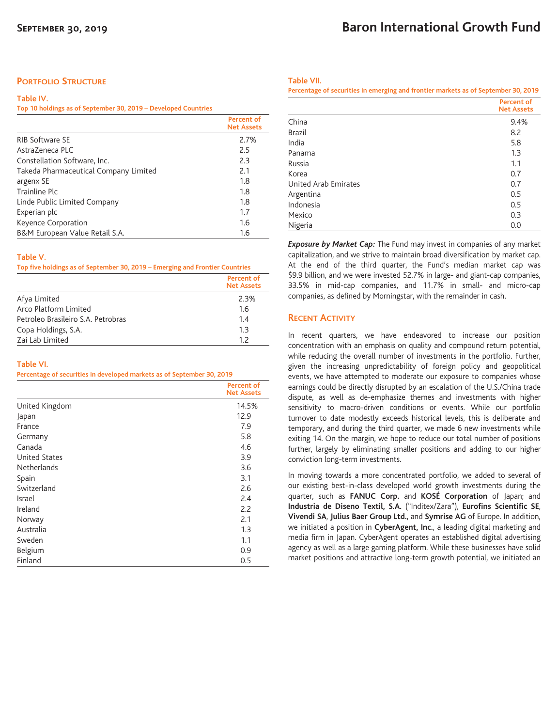## **PORTFOLIO STRUCTURE**

#### **Table IV.**

#### **Top 10 holdings as of September 30, 2019 – Developed Countries**

|                                       | <b>Percent of</b><br><b>Net Assets</b> |
|---------------------------------------|----------------------------------------|
| <b>RIB Software SE</b>                | 2.7%                                   |
| Astra7eneca PLC                       | 2.5                                    |
| Constellation Software, Inc.          | 2.3                                    |
| Takeda Pharmaceutical Company Limited | 2.1                                    |
| argenx SE                             | 1.8                                    |
| Trainline Plc                         | 1.8                                    |
| Linde Public Limited Company          | 1.8                                    |
| Experian plc                          | 1.7                                    |
| Keyence Corporation                   | 1.6                                    |
| B&M European Value Retail S.A.        | 1.6                                    |

#### **Table V.**

**Top five holdings as of September 30, 2019 – Emerging and Frontier Countries**

|                                    | <b>Percent of</b><br><b>Net Assets</b> |
|------------------------------------|----------------------------------------|
| Afya Limited                       | 2.3%                                   |
| Arco Platform Limited              | 1.6                                    |
| Petroleo Brasileiro S.A. Petrobras | 1.4                                    |
| Copa Holdings, S.A.                | 1.3                                    |
| Zai Lab Limited                    | 12                                     |

#### **Table VI.**

**Percentage of securities in developed markets as of September 30, 2019**

|                      | <b>Percent of</b><br><b>Net Assets</b> |
|----------------------|----------------------------------------|
| United Kingdom       | 14.5%                                  |
| Japan                | 12.9                                   |
| France               | 7.9                                    |
| Germany              | 5.8                                    |
| Canada               | 4.6                                    |
| <b>United States</b> | 3.9                                    |
| Netherlands          | 3.6                                    |
| Spain                | 3.1                                    |
| Switzerland          | 2.6                                    |
| Israel               | 2.4                                    |
| Ireland              | 2.2                                    |
| Norway               | 2.1                                    |
| Australia            | 1.3                                    |
| Sweden               | 1.1                                    |
| Belgium              | 0.9                                    |
| Finland              | 0.5                                    |

## **Baron International Growth Fund**

**Table VII.**

| Percentage of securities in emerging and frontier markets as of September 30, 2019 |                                 |
|------------------------------------------------------------------------------------|---------------------------------|
|                                                                                    | Percent of<br><b>Net Assets</b> |
| China                                                                              | 9.4%                            |
| Brazil                                                                             | 8.2                             |
| India                                                                              | 5.8                             |
| Panama                                                                             | 1.3                             |
| Russia                                                                             | 1.1                             |
| Korea                                                                              | 0.7                             |
| United Arab Emirates                                                               | 0.7                             |
| Argentina                                                                          | 0.5                             |
| Indonesia                                                                          | 0.5                             |
| Mexico                                                                             | 0.3                             |
| Nigeria                                                                            | 0.0                             |

*Exposure by Market Cap:* The Fund may invest in companies of any market capitalization, and we strive to maintain broad diversification by market cap. At the end of the third quarter, the Fund's median market cap was \$9.9 billion, and we were invested 52.7% in large- and giant-cap companies, 33.5% in mid-cap companies, and 11.7% in small- and micro-cap companies, as defined by Morningstar, with the remainder in cash.

### **RECENT ACTIVITY**

In recent quarters, we have endeavored to increase our position concentration with an emphasis on quality and compound return potential, while reducing the overall number of investments in the portfolio. Further, given the increasing unpredictability of foreign policy and geopolitical events, we have attempted to moderate our exposure to companies whose earnings could be directly disrupted by an escalation of the U.S./China trade dispute, as well as de-emphasize themes and investments with higher sensitivity to macro-driven conditions or events. While our portfolio turnover to date modestly exceeds historical levels, this is deliberate and temporary, and during the third quarter, we made 6 new investments while exiting 14. On the margin, we hope to reduce our total number of positions further, largely by eliminating smaller positions and adding to our higher conviction long-term investments.

In moving towards a more concentrated portfolio, we added to several of our existing best-in-class developed world growth investments during the quarter, such as **FANUC Corp.** and **KOSÉ Corporation** of Japan; and **Industria de Diseno Textil, S.A.** ("Inditex/Zara"), **Eurofins Scientific SE**, **Vivendi SA**, **Julius Baer Group Ltd.**, and **Symrise AG** of Europe. In addition, we initiated a position in **CyberAgent, Inc.**, a leading digital marketing and media firm in Japan. CyberAgent operates an established digital advertising agency as well as a large gaming platform. While these businesses have solid market positions and attractive long-term growth potential, we initiated an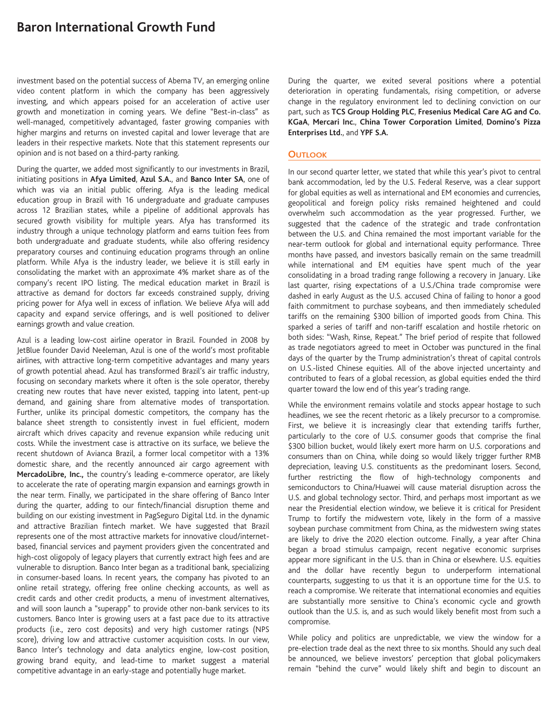## **Baron International Growth Fund**

investment based on the potential success of Abema TV, an emerging online video content platform in which the company has been aggressively investing, and which appears poised for an acceleration of active user growth and monetization in coming years. We define "Best-in-class" as well-managed, competitively advantaged, faster growing companies with higher margins and returns on invested capital and lower leverage that are leaders in their respective markets. Note that this statement represents our opinion and is not based on a third-party ranking.

During the quarter, we added most significantly to our investments in Brazil, initiating positions in **Afya Limited**, **Azul S.A.**, and **Banco Inter SA**, one of which was via an initial public offering. Afya is the leading medical education group in Brazil with 16 undergraduate and graduate campuses across 12 Brazilian states, while a pipeline of additional approvals has secured growth visibility for multiple years. Afya has transformed its industry through a unique technology platform and earns tuition fees from both undergraduate and graduate students, while also offering residency preparatory courses and continuing education programs through an online platform. While Afya is the industry leader, we believe it is still early in consolidating the market with an approximate 4% market share as of the company's recent IPO listing. The medical education market in Brazil is attractive as demand for doctors far exceeds constrained supply, driving pricing power for Afya well in excess of inflation. We believe Afya will add capacity and expand service offerings, and is well positioned to deliver earnings growth and value creation.

Azul is a leading low-cost airline operator in Brazil. Founded in 2008 by JetBlue founder David Neeleman, Azul is one of the world's most profitable airlines, with attractive long-term competitive advantages and many years of growth potential ahead. Azul has transformed Brazil's air traffic industry, focusing on secondary markets where it often is the sole operator, thereby creating new routes that have never existed, tapping into latent, pent-up demand, and gaining share from alternative modes of transportation. Further, unlike its principal domestic competitors, the company has the balance sheet strength to consistently invest in fuel efficient, modern aircraft which drives capacity and revenue expansion while reducing unit costs. While the investment case is attractive on its surface, we believe the recent shutdown of Avianca Brazil, a former local competitor with a 13% domestic share, and the recently announced air cargo agreement with **MercadoLibre, Inc.,** the country's leading e-commerce operator, are likely to accelerate the rate of operating margin expansion and earnings growth in the near term. Finally, we participated in the share offering of Banco Inter during the quarter, adding to our fintech/financial disruption theme and building on our existing investment in PagSeguro Digital Ltd. in the dynamic and attractive Brazilian fintech market. We have suggested that Brazil represents one of the most attractive markets for innovative cloud/internetbased, financial services and payment providers given the concentrated and high-cost oligopoly of legacy players that currently extract high fees and are vulnerable to disruption. Banco Inter began as a traditional bank, specializing in consumer-based loans. In recent years, the company has pivoted to an online retail strategy, offering free online checking accounts, as well as credit cards and other credit products, a menu of investment alternatives, and will soon launch a "superapp" to provide other non-bank services to its customers. Banco Inter is growing users at a fast pace due to its attractive products (i.e., zero cost deposits) and very high customer ratings (NPS score), driving low and attractive customer acquisition costs. In our view, Banco Inter's technology and data analytics engine, low-cost position, growing brand equity, and lead-time to market suggest a material competitive advantage in an early-stage and potentially huge market.

During the quarter, we exited several positions where a potential deterioration in operating fundamentals, rising competition, or adverse change in the regulatory environment led to declining conviction on our part, such as **TCS Group Holding PLC**, **Fresenius Medical Care AG and Co. KGaA**, **Mercari Inc.**, **China Tower Corporation Limited**, **Domino's Pizza Enterprises Ltd.**, and **YPF S.A.**

### **OUTLOOK**

In our second quarter letter, we stated that while this year's pivot to central bank accommodation, led by the U.S. Federal Reserve, was a clear support for global equities as well as international and EM economies and currencies, geopolitical and foreign policy risks remained heightened and could overwhelm such accommodation as the year progressed. Further, we suggested that the cadence of the strategic and trade confrontation between the U.S. and China remained the most important variable for the near-term outlook for global and international equity performance. Three months have passed, and investors basically remain on the same treadmill while international and EM equities have spent much of the year consolidating in a broad trading range following a recovery in January. Like last quarter, rising expectations of a U.S./China trade compromise were dashed in early August as the U.S. accused China of failing to honor a good faith commitment to purchase soybeans, and then immediately scheduled tariffs on the remaining \$300 billion of imported goods from China. This sparked a series of tariff and non-tariff escalation and hostile rhetoric on both sides: "Wash, Rinse, Repeat." The brief period of respite that followed as trade negotiators agreed to meet in October was punctured in the final days of the quarter by the Trump administration's threat of capital controls on U.S.-listed Chinese equities. All of the above injected uncertainty and contributed to fears of a global recession, as global equities ended the third quarter toward the low end of this year's trading range.

While the environment remains volatile and stocks appear hostage to such headlines, we see the recent rhetoric as a likely precursor to a compromise. First, we believe it is increasingly clear that extending tariffs further, particularly to the core of U.S. consumer goods that comprise the final \$300 billion bucket, would likely exert more harm on U.S. corporations and consumers than on China, while doing so would likely trigger further RMB depreciation, leaving U.S. constituents as the predominant losers. Second, further restricting the flow of high-technology components and semiconductors to China/Huawei will cause material disruption across the U.S. and global technology sector. Third, and perhaps most important as we near the Presidential election window, we believe it is critical for President Trump to fortify the midwestern vote, likely in the form of a massive soybean purchase commitment from China, as the midwestern swing states are likely to drive the 2020 election outcome. Finally, a year after China began a broad stimulus campaign, recent negative economic surprises appear more significant in the U.S. than in China or elsewhere. U.S. equities and the dollar have recently begun to underperform international counterparts, suggesting to us that it is an opportune time for the U.S. to reach a compromise. We reiterate that international economies and equities are substantially more sensitive to China's economic cycle and growth outlook than the U.S. is, and as such would likely benefit most from such a compromise.

While policy and politics are unpredictable, we view the window for a pre-election trade deal as the next three to six months. Should any such deal be announced, we believe investors' perception that global policymakers remain "behind the curve" would likely shift and begin to discount an